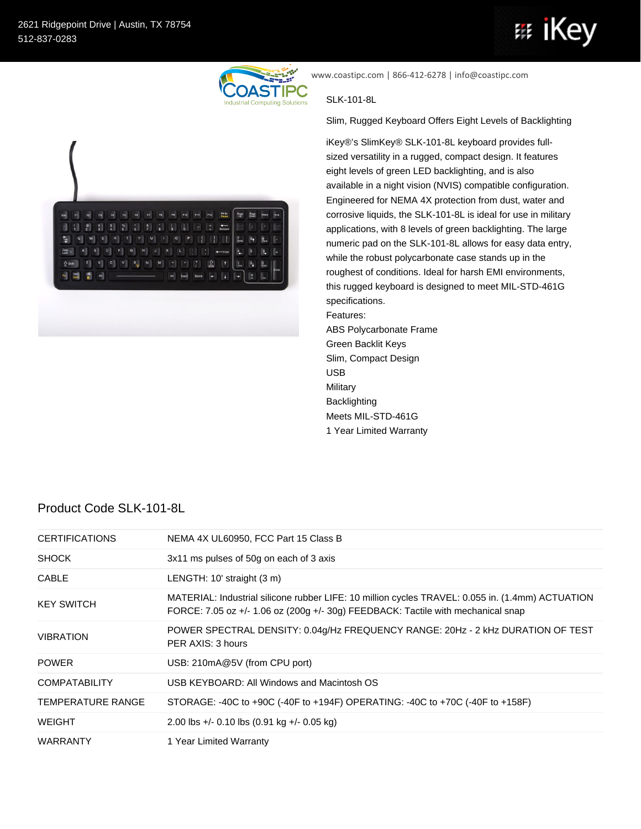

www.coastipc.com | 866-412-6278 | info@coastipc.com

## SLK-101-8L

Slim, Rugged Keyboard Offers Eight Levels of Backlighting

iKey®'s SlimKey® SLK-101-8L keyboard provides fullsized versatility in a rugged, compact design. It features eight levels of green LED backlighting, and is also available in a night vision (NVIS) compatible configuration. Engineered for NEMA 4X protection from dust, water and corrosive liquids, the SLK-101-8L is ideal for use in military applications, with 8 levels of green backlighting. The large numeric pad on the SLK-101-8L allows for easy data entry, while the robust polycarbonate case stands up in the roughest of conditions. Ideal for harsh EMI environments, this rugged keyboard is designed to meet MIL-STD-461G specifications. Features:

ABS Polycarbonate Frame Green Backlit Keys Slim, Compact Design USB Military Backlighting Meets MIL-STD-461G 1 Year Limited Warranty

## Product Code SLK-101-8L

| <b>CERTIFICATIONS</b>    | NEMA 4X UL60950, FCC Part 15 Class B                                                                                                                                                 |
|--------------------------|--------------------------------------------------------------------------------------------------------------------------------------------------------------------------------------|
| <b>SHOCK</b>             | 3x11 ms pulses of 50g on each of 3 axis                                                                                                                                              |
| <b>CABLE</b>             | LENGTH: 10' straight (3 m)                                                                                                                                                           |
| <b>KEY SWITCH</b>        | MATERIAL: Industrial silicone rubber LIFE: 10 million cycles TRAVEL: 0.055 in. (1.4mm) ACTUATION<br>FORCE: 7.05 oz +/- 1.06 oz (200g +/- 30g) FEEDBACK: Tactile with mechanical snap |
| <b>VIBRATION</b>         | POWER SPECTRAL DENSITY: 0.04g/Hz FREQUENCY RANGE: 20Hz - 2 kHz DURATION OF TEST<br>PER AXIS: 3 hours                                                                                 |
| <b>POWER</b>             | USB: 210mA@5V (from CPU port)                                                                                                                                                        |
| <b>COMPATABILITY</b>     | USB KEYBOARD: All Windows and Macintosh OS                                                                                                                                           |
| <b>TEMPERATURE RANGE</b> | STORAGE: -40C to +90C (-40F to +194F) OPERATING: -40C to +70C (-40F to +158F)                                                                                                        |
| <b>WEIGHT</b>            | 2.00 lbs +/- 0.10 lbs $(0.91 \text{ kg} +$ /- 0.05 kg)                                                                                                                               |
| <b>WARRANTY</b>          | 1 Year Limited Warranty                                                                                                                                                              |